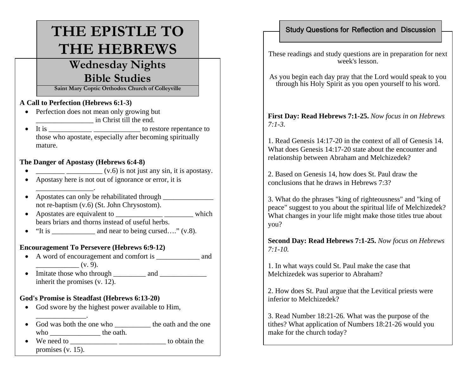# **THE EPISTLE TO THE HEBREWS**

## **Wednesday Nights Bible Studies**

**Saint Mary Coptic Orthodox Church of Colleyville**

#### **A Call to Perfection (Hebrews 6:1-3)**

- Perfection does not mean only growing but \_\_\_\_\_\_\_\_\_\_\_\_\_\_\_\_ in Christ till the end.
- • It is \_\_\_\_\_\_\_\_\_\_\_\_ \_\_\_\_\_\_\_\_\_\_\_\_\_ to restore repentance to those who apostate, especially after becoming spiritually mature.

#### **The Danger of Apostasy (Hebrews 6:4-8)**

\_\_\_\_\_\_\_\_\_\_\_\_\_\_\_\_.

\_\_\_\_\_\_\_\_\_\_\_\_\_\_.

- • $\frac{1}{\sqrt{1-\frac{1}{\sqrt{1-\frac{1}{\sqrt{1-\frac{1}{\sqrt{1-\frac{1}{\sqrt{1-\frac{1}{\sqrt{1-\frac{1}{\sqrt{1-\frac{1}{\sqrt{1-\frac{1}{\sqrt{1-\frac{1}{\sqrt{1-\frac{1}{\sqrt{1-\frac{1}{\sqrt{1-\frac{1}{\sqrt{1-\frac{1}{\sqrt{1-\frac{1}{\sqrt{1-\frac{1}{\sqrt{1-\frac{1}{\sqrt{1-\frac{1}{\sqrt{1-\frac{1}{\sqrt{1-\frac{1}{\sqrt{1-\frac{1}{\sqrt{1-\frac{1}{\sqrt{1-\frac{1}{\sqrt{1-\frac{1}{\sqrt{1-\frac{1$
- •Apostasy here is not out of ignorance or error, it is
- Apostates can only be rehabilitated through \_\_\_\_\_\_\_\_\_\_\_\_\_\_\_\_\_\_\_\_\_\_\_\_\_\_\_\_\_\_\_\_\_\_ not re-baptism (v.6) (St. John Chrysostom).
- Apostates are equivalent to \_\_\_\_\_\_\_\_\_\_\_\_\_ \_\_\_\_\_\_\_\_ which bears briars and thorns instead of useful herbs.
- $\bullet$ "It is \_\_\_\_\_\_\_\_\_\_\_\_ and near to being cursed…." (v.8).

#### **Encouragement To Persevere (Hebrews 6:9-12)**

- A word of encouragement and comfort is \_\_\_\_\_\_\_\_\_\_\_\_\_\_ and  $(v. 9)$ .
- •Imitate those who through and  $\Box$ inherit the promises (v. 12).

#### **God's Promise is Steadfast (Hebrews 6:13-20)**

- God swore by the highest power available to Him,
- God was both the one who the one the oath and the one who the oath.
- • We need to \_\_\_\_\_\_\_\_\_\_\_\_\_ \_\_\_\_\_\_\_\_\_\_\_\_\_ to obtain the promises (v. 15).

### Study Questions for Reflection and Discussion

These readings and study questions are in preparation for next week's lesson.

As you begin each day pray that the Lord would speak to you through his Holy Spirit as you open yourself to his word.

**First Day: Read Hebrews 7:1-25.** *Now focus in on Hebrews 7:1-3.*

1. Read Genesis 14:17-20 in the context of all of Genesis 14. What does Genesis 14:17-20 state about the encounter and relationship between Abraham and Melchizedek?

2. Based on Genesis 14, how does St. Paul draw the conclusions that he draws in Hebrews 7:3?

3. What do the phrases "king of righteousness" and "king of peace" suggest to you about the spiritual life of Melchizedek? What changes in your life might make those titles true about you?

**Second Day: Read Hebrews 7:1-25.** *Now focus on Hebrews 7:1-10.*

1. In what ways could St. Paul make the case that Melchizedek was superior to Abraham?

2. How does St. Paul argue that the Levitical priests were inferior to Melchizedek?

3. Read Number 18:21-26. What was the purpose of the tithes? What application of Numbers 18:21-26 would you make for the church today?